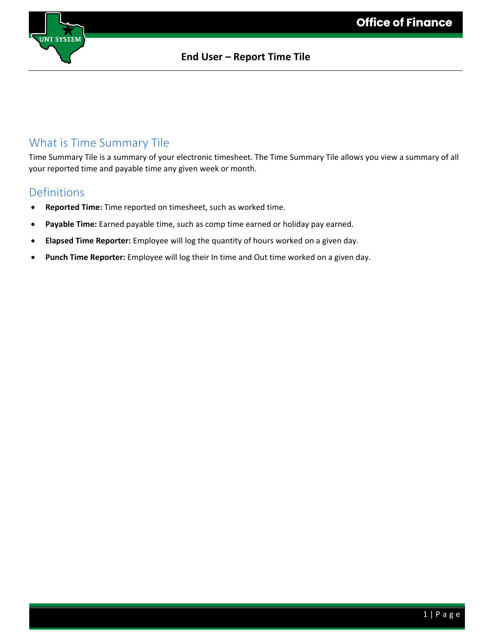

### What is Time Summary Tile

Time Summary Tile is a summary of your electronic timesheet. The Time Summary Tile allows you view a summary of all your reported time and payable time any given week or month.

### Definitions

- **Reported Time:** Time reported on timesheet, such as worked time.
- Payable Time: Earned payable time, such as comp time earned or holiday pay earned.
- **Elapsed Time Reporter:** Employee will log the quantity of hours worked on a given day.
- **Punch Time Reporter:** Employee will log their In time and Out time worked on a given day.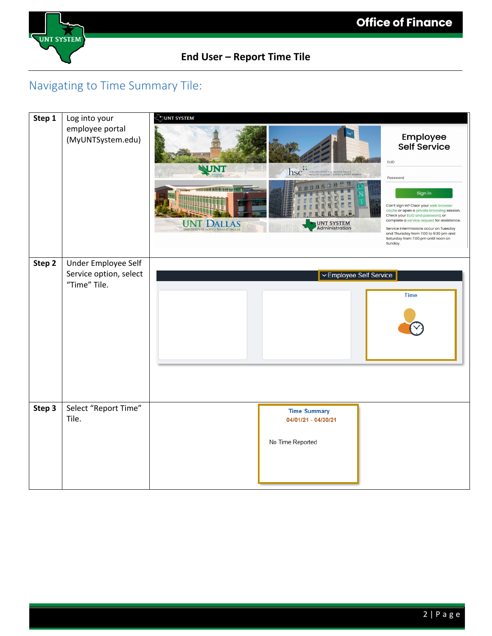

### Navigating to Time Summary Tile:

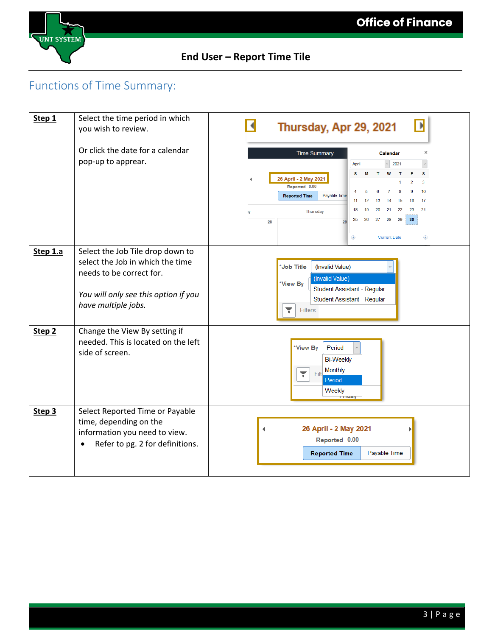

# Functions of Time Summary:

| Step 1            | Select the time period in which<br>you wish to review.                                                                                                          | Thursday, Apr 29, 2021                                                                                                                                                                                                                                                                                                                                      |
|-------------------|-----------------------------------------------------------------------------------------------------------------------------------------------------------------|-------------------------------------------------------------------------------------------------------------------------------------------------------------------------------------------------------------------------------------------------------------------------------------------------------------------------------------------------------------|
|                   | Or click the date for a calendar<br>pop-up to apprear.                                                                                                          | <b>Time Summary</b><br>$\times$<br>Calendar<br>2021<br>April                                                                                                                                                                                                                                                                                                |
|                   |                                                                                                                                                                 | s<br>F<br>s<br>W<br>26 April - 2 May 2021<br>$\overline{2}$<br>3<br>Reported 0.00<br>10<br>9<br>в<br>8<br>-7<br>Payable Time<br><b>Reported Time</b><br>17<br>12<br>16<br>11<br>13<br>14<br>15<br>21<br>22<br>23<br>24<br>18<br>19<br>20<br><b>Thursday</b><br>ıy<br>30<br>27<br>28<br>29<br>25<br>26<br>28<br>29<br>◉<br><b>Current Date</b><br>$^{\circ}$ |
| Step 1.a          | Select the Job Tile drop down to<br>select the Job in which the time<br>needs to be correct for.<br>You will only see this option if you<br>have multiple jobs. | *Job Title<br>(Invalid Value)<br>(Invalid Value)<br>*View By<br>Student Assistant - Regular<br>Student Assistant - Regular<br>۳<br>Filters                                                                                                                                                                                                                  |
| Step <sub>2</sub> | Change the View By setting if<br>needed. This is located on the left<br>side of screen.                                                                         | *View By<br>Period<br><b>Bi-Weekly</b><br>Monthly<br>۳<br>Filt<br>Period<br>Weekly<br><b>TIMAY</b>                                                                                                                                                                                                                                                          |
| Step 3            | Select Reported Time or Payable<br>time, depending on the<br>information you need to view.<br>Refer to pg. 2 for definitions.                                   | 26 April - 2 May 2021<br>Reported 0.00<br>Payable Time<br><b>Reported Time</b>                                                                                                                                                                                                                                                                              |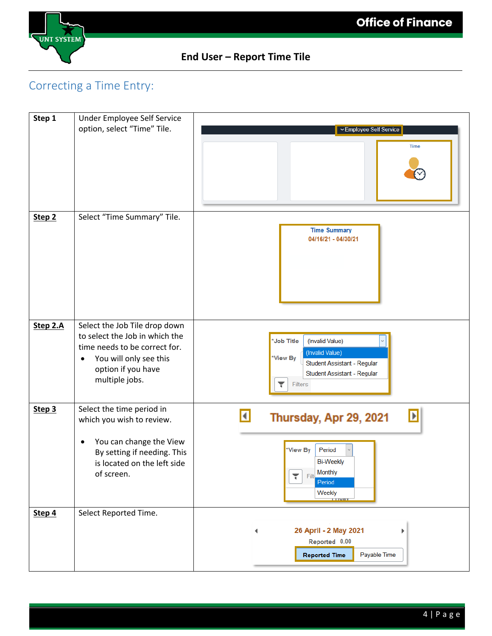

# Correcting a Time Entry:

| Step 1            | Under Employee Self Service                                                                              |                                                                                                 |
|-------------------|----------------------------------------------------------------------------------------------------------|-------------------------------------------------------------------------------------------------|
|                   | option, select "Time" Tile.                                                                              | ▽ Employee Self Service                                                                         |
|                   |                                                                                                          | <b>Time</b>                                                                                     |
| Step <sub>2</sub> | Select "Time Summary" Tile.                                                                              |                                                                                                 |
|                   |                                                                                                          | <b>Time Summary</b><br>04/16/21 - 04/30/21                                                      |
| Step 2.A          | Select the Job Tile drop down<br>to select the Job in which the                                          | *Job Title<br>(Invalid Value)                                                                   |
|                   | time needs to be correct for.<br>You will only see this                                                  | (Invalid Value)<br>*View By<br>Student Assistant - Regular                                      |
|                   | option if you have<br>multiple jobs.                                                                     | Student Assistant - Regular<br>۳<br><b>Filters</b>                                              |
| Step 3            | Select the time period in<br>which you wish to review.                                                   | $\blacktriangleright$<br>$\vert \vert$<br>Thursday, Apr 29, 2021                                |
|                   | You can change the View<br>٠<br>By setting if needing. This<br>is located on the left side<br>of screen. | *View By<br>Period<br><b>Bi-Weekly</b><br>Filt Monthly<br>۲<br>Period<br>Weekly<br><b>TTMAY</b> |
| Step 4            | Select Reported Time.                                                                                    |                                                                                                 |
|                   |                                                                                                          | 26 April - 2 May 2021<br>Þ                                                                      |
|                   |                                                                                                          | Reported 0.00<br>Payable Time<br><b>Reported Time</b>                                           |
|                   |                                                                                                          |                                                                                                 |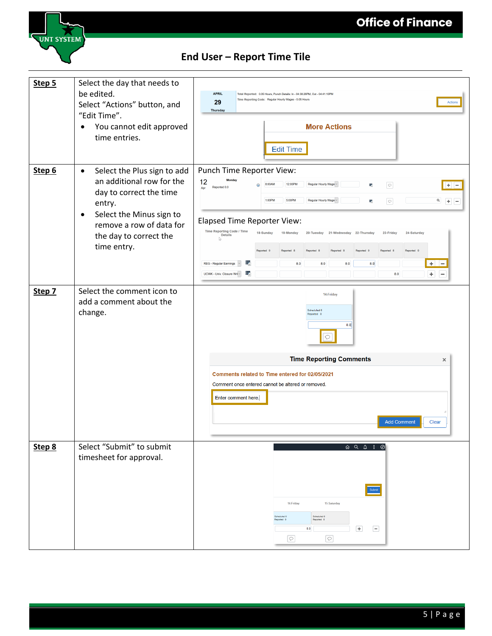

| Step 5 | Select the day that needs to<br>be edited.<br>Select "Actions" button, and<br>"Edit Time".<br>You cannot edit approved<br>$\bullet$<br>time entries.                                                                     | <b>APRIL</b><br>Total Reported: 0.05 Hours, Punch Details: In - 04:38:26PM, Out - 04:41:10PM<br>Time Reporting Code: Regular Hourly Wages - 0.05 Hours<br>29<br>Actions<br><b>Thursday</b><br><b>More Actions</b><br><b>Edit Time</b>                                                                                                                                                                                                                                                                                                                                                                                 |
|--------|--------------------------------------------------------------------------------------------------------------------------------------------------------------------------------------------------------------------------|-----------------------------------------------------------------------------------------------------------------------------------------------------------------------------------------------------------------------------------------------------------------------------------------------------------------------------------------------------------------------------------------------------------------------------------------------------------------------------------------------------------------------------------------------------------------------------------------------------------------------|
| Step 6 | Select the Plus sign to add<br>$\bullet$<br>an additional row for the<br>day to correct the time<br>entry.<br>Select the Minus sign to<br>$\bullet$<br>remove a row of data for<br>the day to correct the<br>time entry. | Punch Time Reporter View:<br>12<br>12:00PM<br>Regular Hourly Wage ~<br>$\circ$<br>8:00AM<br>嶹<br>$+$<br>Reported 0.0<br>Apr<br>$\boxed{\circ}$<br>1:00PM<br>5:00PM<br>Regular Hourly Wage ~<br>$\alpha$<br>罱<br>$+ -$<br><b>Elapsed Time Reporter View:</b><br>Time Reporting Code / Time<br>18-Sunday<br>19-Monday<br>20-Tuesday 21-Wednesday 22-Thursday<br>23-Friday<br>24-Saturday<br><b>Details</b><br>Reported 0<br>Reported 8<br>Reported 0<br>丟<br>REG - Regular Earnings<br>$\backsim$<br>8.0<br>8.0<br>8.0<br>8.0<br>$+$ $-$<br>蠹<br>$\pm$<br>UCWK - Univ. Closure Wri ~<br>8.0<br>$\overline{\phantom{a}}$ |
| Step 7 | Select the comment icon to<br>add a comment about the<br>change.                                                                                                                                                         | 14-Friday<br>Scheduled 0<br>Reported 0<br>8.0<br>$\circ$<br><b>Time Reporting Comments</b><br>$\times$<br>Comments related to Time entered for 02/05/2021<br>Comment once entered cannot be altered or removed.<br>Enter comment here.<br><b>Add Comment</b><br>Clear                                                                                                                                                                                                                                                                                                                                                 |
| Step 8 | Select "Submit" to submit<br>timesheet for approval.                                                                                                                                                                     | $\begin{picture}(160,170) \put(0,0){\makebox(0,0){$a$}} \put(15,0){\makebox(0,0){$b$}} \put(15,0){\makebox(0,0){$b$}} \put(15,0){\makebox(0,0){$b$}} \put(15,0){\makebox(0,0){$b$}} \put(15,0){\makebox(0,0){$b$}} \put(15,0){\makebox(0,0){$b$}} \put(15,0){\makebox(0,0){$b$}} \put(15,0){\makebox(0,0){$b$}} \put(15,0){\makebox(0,0){$b$}} \put(15,0){$<br>$\begin{minipage}{.4\linewidth} Submit \end{minipage} \vspace{0.05in}$<br>14-Friday<br>15-Saturday<br>Scheduled 0<br>Scheduled 0<br>Reported 0<br>Reported 0<br>$+$<br>$\boxed{-}$<br>8.0<br>$\circ$<br>$\heartsuit$                                   |